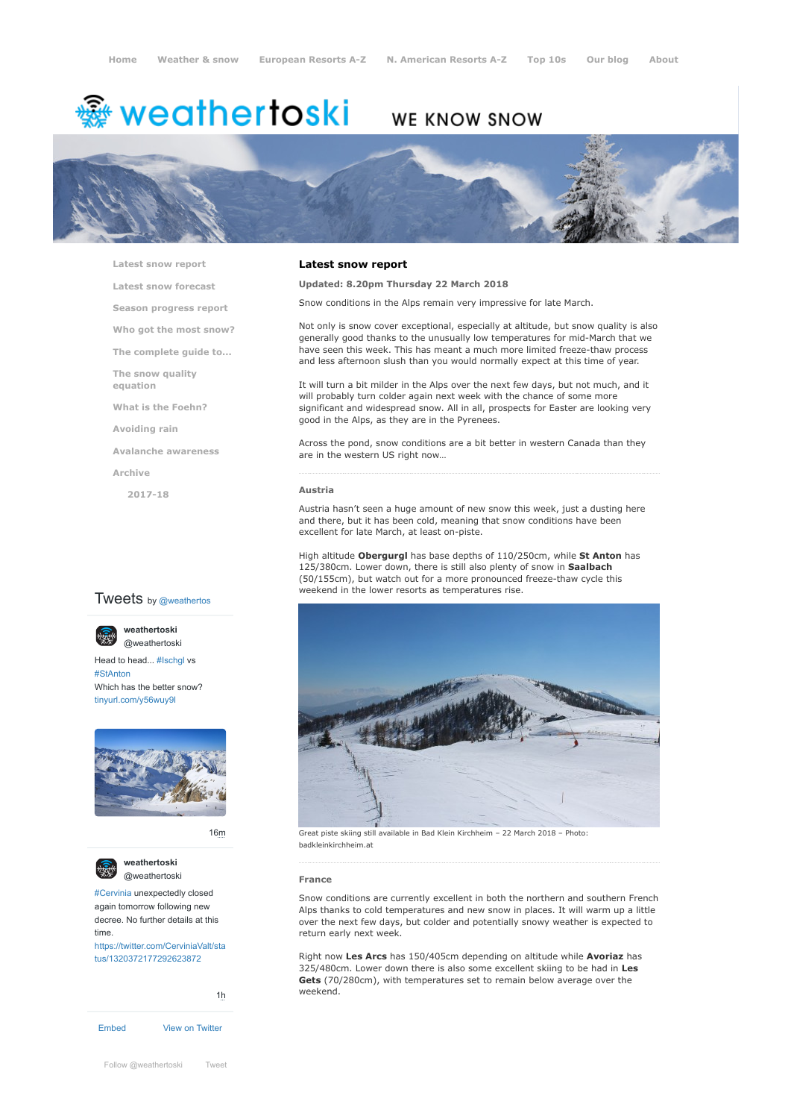# weathertoski ﷺ

# WE KNOW SNOW



**[Latest snow report](https://www.weathertoski.co.uk/weather-snow/latest-snow-report/)**

**[Latest snow forecast](https://www.weathertoski.co.uk/weather-snow/latest-snow-forecast/)**

**[Season progress report](https://www.weathertoski.co.uk/weather-snow/season-progress-report/)**

**[Who got the most snow?](https://www.weathertoski.co.uk/weather-snow/who-got-the-most-snow/)**

**[The complete guide to...](https://www.weathertoski.co.uk/weather-snow/the-complete-guide-to/)**

**[The snow quality](https://www.weathertoski.co.uk/weather-snow/the-snow-quality-equation/)**

**[What is the Foehn?](https://www.weathertoski.co.uk/weather-snow/what-is-the-foehn/)**

**[Avoiding rain](https://www.weathertoski.co.uk/weather-snow/avoiding-rain/)**

**[Avalanche awareness](https://www.weathertoski.co.uk/weather-snow/avalanche-awareness/)**

**[Archive](https://www.weathertoski.co.uk/weather-snow/archive/)**

**equation**

**[2017-18](https://www.weathertoski.co.uk/weather-snow/archive/2017-18/)**

# **Tweets** by @weathertos

**weathertoski** [@weathertoski](https://twitter.com/weathertoski)



Head to head... [#Ischgl](https://twitter.com/hashtag/Ischgl?src=hash) vs [#StAnton](https://twitter.com/hashtag/StAnton?src=hash) Which has the better snow? [tinyurl.com/y56wuy9l](https://t.co/AeKkyB0N9S)



[16m](https://twitter.com/weathertoski/status/1320387692862050304)





[#Cervinia](https://twitter.com/hashtag/Cervinia?src=hash) unexpectedly closed again tomorrow following new decree. No further details at this time.

[https://twitter.com/CerviniaValt/sta](https://twitter.com/CerviniaValt/status/1320372177292623872) tus/1320372177292623872



# **Updated: 8.20pm Thursday 22 March 2018**

**Latest snow report**

Snow conditions in the Alps remain very impressive for late March.

Not only is snow cover exceptional, especially at altitude, but snow quality is also generally good thanks to the unusually low temperatures for mid-March that we have seen this week. This has meant a much more limited freeze-thaw process and less afternoon slush than you would normally expect at this time of year.

It will turn a bit milder in the Alps over the next few days, but not much, and it will probably turn colder again next week with the chance of some more significant and widespread snow. All in all, prospects for Easter are looking very good in the Alps, as they are in the Pyrenees.

Across the pond, snow conditions are a bit better in western Canada than they are in the western US right now…

#### **Austria**

Austria hasn't seen a huge amount of new snow this week, just a dusting here and there, but it has been cold, meaning that snow conditions have been excellent for late March, at least on-piste.

High altitude **Obergurgl** has base depths of 110/250cm, while **St Anton** has 125/380cm. Lower down, there is still also plenty of snow in **Saalbach** (50/155cm), but watch out for a more pronounced freeze-thaw cycle this weekend in the lower resorts as temperatures rise.



Great piste skiing still available in Bad Klein Kirchheim – 22 March 2018 – Photo: badkleinkirchheim.at

### **France**

Snow conditions are currently excellent in both the northern and southern French Alps thanks to cold temperatures and new snow in places. It will warm up a little over the next few days, but colder and potentially snowy weather is expected to return early next week.

Right now **Les Arcs** has 150/405cm depending on altitude while **Avoriaz** has 325/480cm. Lower down there is also some excellent skiing to be had in **Les Gets** (70/280cm), with temperatures set to remain below average over the weekend.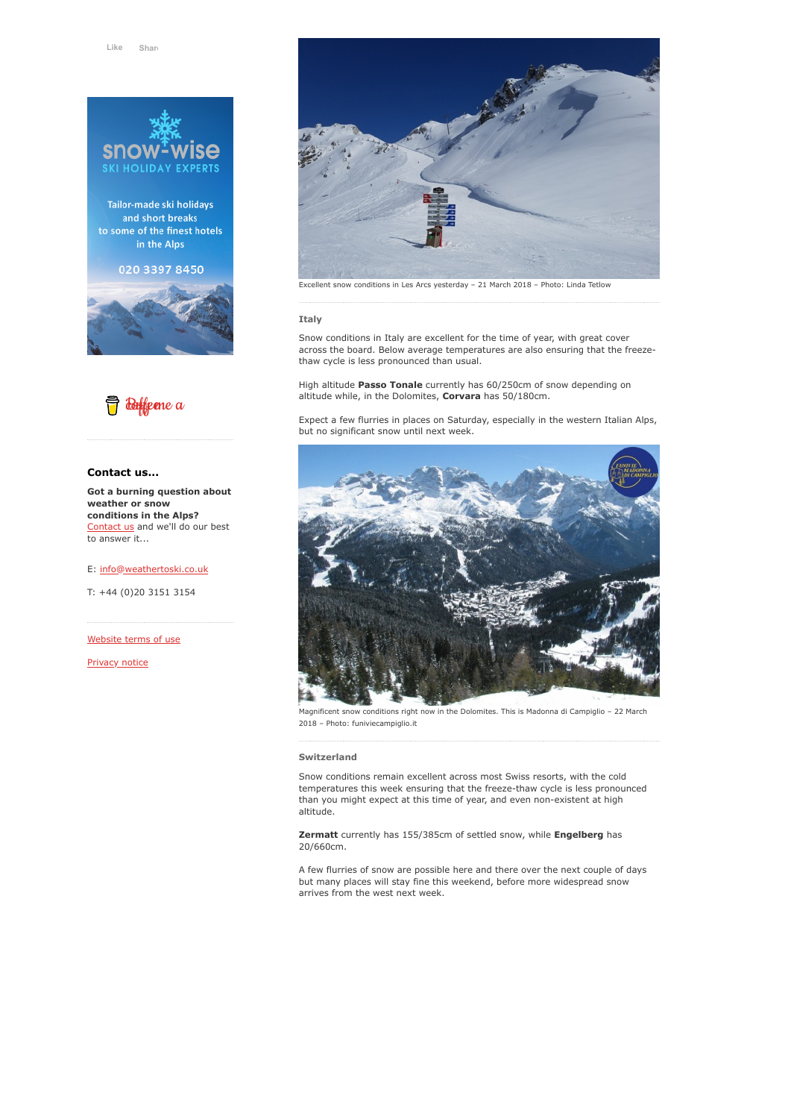

Tailor-made ski holidays and short breaks to some of the finest hotels in the Alps

020 3397 8450





# **Contact us...**

**Got a burning question about weather or snow conditions in the Alps?** [Contact us](https://www.weathertoski.co.uk/about-1/contact-us/) and we'll do our best to answer it...

E: [info@weathertoski.co.uk](mailto:fraser@weathertoski.co.uk)

T: +44 (0)20 3151 3154

[Website terms of use](https://www.weathertoski.co.uk/about-1/website-terms-of-use/)

[Privacy notice](https://www.weathertoski.co.uk/about-1/privacy-notice/)



Excellent snow conditions in Les Arcs yesterday – 21 March 2018 – Photo: Linda Tetlow

#### **Italy**

Snow conditions in Italy are excellent for the time of year, with great cover across the board. Below average temperatures are also ensuring that the freezethaw cycle is less pronounced than usual.

High altitude **Passo Tonale** currently has 60/250cm of snow depending on altitude while, in the Dolomites, **Corvara** has 50/180cm.

Expect a few flurries in places on Saturday, especially in the western Italian Alps, but no significant snow until next week.



Magnificent snow conditions right now in the Dolomites. This is Madonna di Campiglio – 22 March 2018 – Photo: funiviecampiglio.it

#### **Switzerland**

Snow conditions remain excellent across most Swiss resorts, with the cold temperatures this week ensuring that the freeze-thaw cycle is less pronounced than you might expect at this time of year, and even non-existent at high altitude.

**Zermatt** currently has 155/385cm of settled snow, while **Engelberg** has 20/660cm.

A few flurries of snow are possible here and there over the next couple of days but many places will stay fine this weekend, before more widespread snow arrives from the west next week.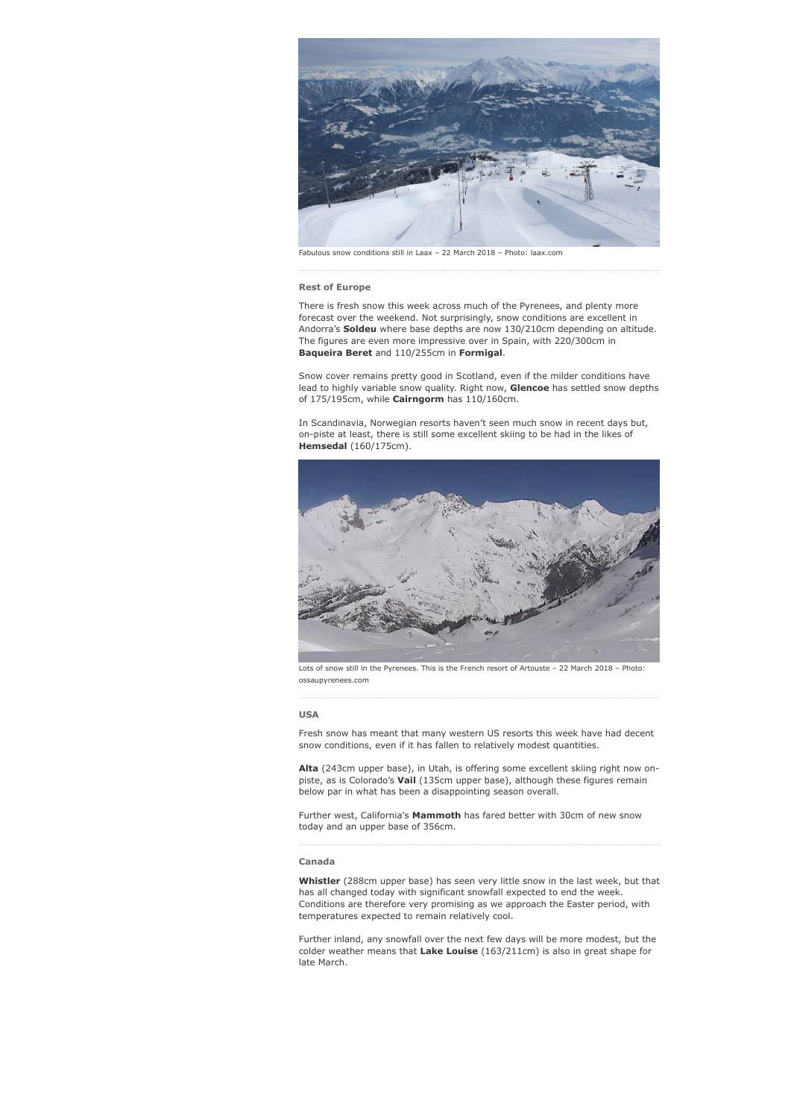

Fabulous snow conditions still in Laax – 22 March 2018 – Photo: laax.com

## **Rest of Europe**

There is fresh snow this week across much of the Pyrenees, and plenty more forecast over the weekend. Not surprisingly, snow conditions are excellent in Andorra's **Soldeu** where base depths are now 130/210cm depending on altitude. The figures are even more impressive over in Spain, with 220/300cm in **Baqueira Beret** and 110/255cm in **Formigal**.

Snow cover remains pretty good in Scotland, even if the milder conditions have lead to highly variable snow quality. Right now, **Glencoe** has settled snow depths of 175/195cm, while **Cairngorm** has 110/160cm.

In Scandinavia, Norwegian resorts haven't seen much snow in recent days but, on-piste at least, there is still some excellent skiing to be had in the likes of **Hemsedal** (160/175cm).



Lots of snow still in the Pyrenees. This is the French resort of Artouste – 22 March 2018 – Photo: ossaupyrenees.com

#### **USA**

Fresh snow has meant that many western US resorts this week have had decent snow conditions, even if it has fallen to relatively modest quantities.

**Alta** (243cm upper base), in Utah, is offering some excellent skiing right now onpiste, as is Colorado's **Vail** (135cm upper base), although these figures remain below par in what has been a disappointing season overall.

Further west, California's **Mammoth** has fared better with 30cm of new snow today and an upper base of 356cm.

# **Canada**

**Whistler** (288cm upper base) has seen very little snow in the last week, but that has all changed today with significant snowfall expected to end the week. Conditions are therefore very promising as we approach the Easter period, with temperatures expected to remain relatively cool.

Further inland, any snowfall over the next few days will be more modest, but the colder weather means that **Lake Louise** (163/211cm) is also in great shape for late March.